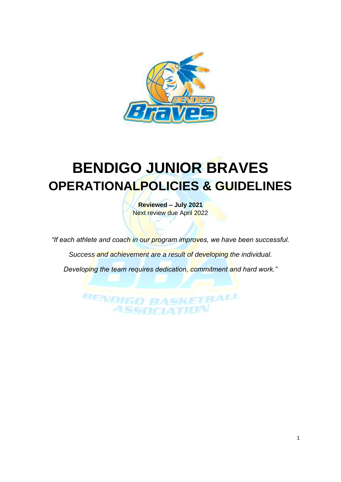

# **BENDIGO JUNIOR BRAVES OPERATIONALPOLICIES & GUIDELINES**

**Reviewed – July 2021** Next review due April 2022

*"If each athlete and coach in our program improves, we have been successful.*

*Success and achievement are a result of developing the individual.*

*Developing the team requires dedication, commitment and hard work."*

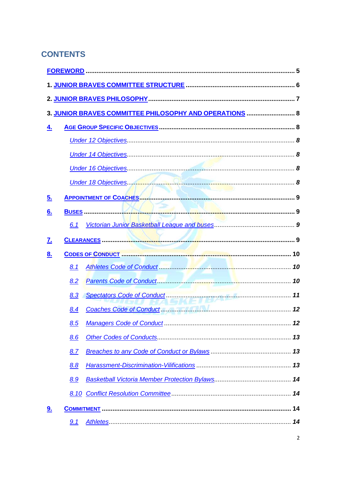# **CONTENTS**

|           |     | 3. JUNIOR BRAVES COMMITTEE PHILOSOPHY AND OPERATIONS  8 |  |
|-----------|-----|---------------------------------------------------------|--|
| 4.        |     |                                                         |  |
|           |     |                                                         |  |
|           |     |                                                         |  |
|           |     |                                                         |  |
|           |     |                                                         |  |
| <u>5.</u> |     |                                                         |  |
| 6.        |     |                                                         |  |
|           | 6.1 |                                                         |  |
| <u>7.</u> |     |                                                         |  |
| 8.        |     |                                                         |  |
|           | 8.1 |                                                         |  |
|           | 8.2 |                                                         |  |
|           | 8.3 |                                                         |  |
|           | 8.4 | Coaches Code of Conduct Manual Manual Manual Manual 12  |  |
|           |     |                                                         |  |
|           | 8.6 |                                                         |  |
|           | 8.7 |                                                         |  |
|           | 8.8 |                                                         |  |
|           | 8.9 |                                                         |  |
|           |     |                                                         |  |
| <u>9.</u> |     |                                                         |  |
|           | 9.1 |                                                         |  |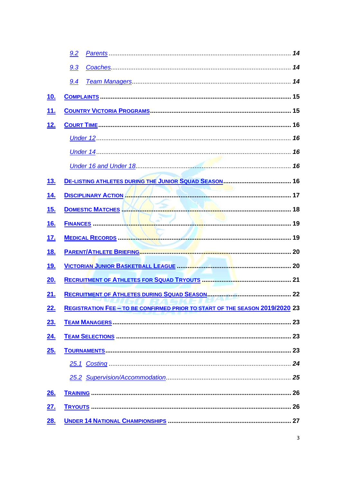|            | 9.2                                                                                 |  |
|------------|-------------------------------------------------------------------------------------|--|
|            | 9.3                                                                                 |  |
|            | 9.4                                                                                 |  |
| 10.        |                                                                                     |  |
| 11.        |                                                                                     |  |
| 12.        |                                                                                     |  |
|            |                                                                                     |  |
|            |                                                                                     |  |
|            |                                                                                     |  |
| <u>13.</u> |                                                                                     |  |
| 14.        | <b>DISCIPLINARY ACTION AND ACTION AND ACTION</b>                                    |  |
| <u>15.</u> | DOMESTIC MATCHES MATCHES                                                            |  |
| 16.        |                                                                                     |  |
| <u>17.</u> |                                                                                     |  |
| <u>18.</u> |                                                                                     |  |
| <u>19.</u> |                                                                                     |  |
| <u>20.</u> |                                                                                     |  |
| 21.        |                                                                                     |  |
| <u>22.</u> | <b>REGISTRATION FEE - TO BE CONFIRMED PRIOR TO START OF THE SEASON 2019/2020 23</b> |  |
| 23.        |                                                                                     |  |
| 24.        |                                                                                     |  |
| 25.        |                                                                                     |  |
|            |                                                                                     |  |
|            |                                                                                     |  |
| 26.        |                                                                                     |  |
| <u>27.</u> |                                                                                     |  |
| 28.        |                                                                                     |  |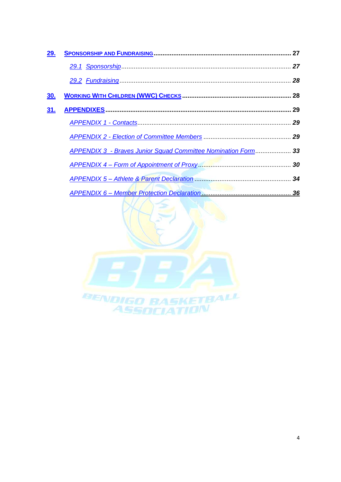| 29.        |                                                                      |  |
|------------|----------------------------------------------------------------------|--|
|            |                                                                      |  |
|            |                                                                      |  |
| <u>30.</u> |                                                                      |  |
| 31.        |                                                                      |  |
|            |                                                                      |  |
|            |                                                                      |  |
|            | <b>APPENDIX 3 - Braves Junior Squad Committee Nomination Form 33</b> |  |
|            |                                                                      |  |
|            |                                                                      |  |
|            |                                                                      |  |

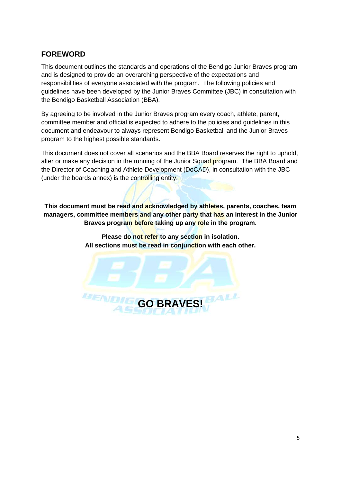# <span id="page-4-0"></span>**FOREWORD**

This document outlines the standards and operations of the Bendigo Junior Braves program and is designed to provide an overarching perspective of the expectations and responsibilities of everyone associated with the program. The following policies and guidelines have been developed by the Junior Braves Committee (JBC) in consultation with the Bendigo Basketball Association (BBA).

By agreeing to be involved in the Junior Braves program every coach, athlete, parent, committee member and official is expected to adhere to the policies and guidelines in this document and endeavour to always represent Bendigo Basketball and the Junior Braves program to the highest possible standards.

This document does not cover all scenarios and the BBA Board reserves the right to uphold, alter or make any decision in the running of the Junior Squad program. The BBA Board and the Director of Coaching and Athlete Development (DoCAD), in consultation with the JBC (under the boards annex) is the controlling entity.

**This document must be read and acknowledged by athletes, parents, coaches, team managers, committee members and any other party that has an interest in the Junior Braves program before taking up any role in the program.**

> **Please do not refer to any section in isolation. All sections must be read in conjunction with each other.**

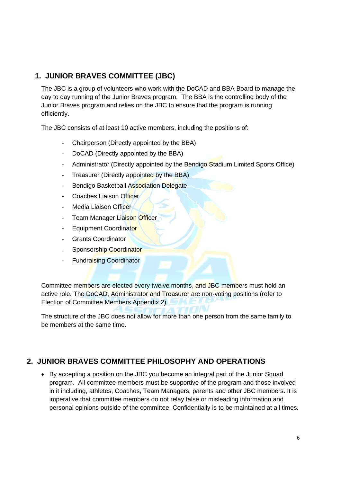# <span id="page-5-0"></span>**1. JUNIOR BRAVES COMMITTEE (JBC)**

The JBC is a group of volunteers who work with the DoCAD and BBA Board to manage the day to day running of the Junior Braves program. The BBA is the controlling body of the Junior Braves program and relies on the JBC to ensure that the program is running efficiently.

The JBC consists of at least 10 active members, including the positions of:

- Chairperson (Directly appointed by the BBA)
- DoCAD (Directly appointed by the BBA)
- Administrator (Directly appointed by the Bendigo Stadium Limited Sports Office)
- Treasurer (Directly appointed by the BBA)
- Bendigo Basketball Association Delegate
- Coaches Liaison Officer
- Media Liaison Officer
- **Team Manager Liaison Officer**
- Equipment Coordinator
- Grants Coordinator
- Sponsorship Coordinator
- **Fundraising Coordinator**

Committee members are elected every twelve months, and JBC members must hold an active role. The DoCAD, Administrator and Treasurer are non-voting positions (refer to Election of Committee Members Appendix 2).

The structure of the JBC does not allow for more than one person from the same family to be members at the same time.

# **2. JUNIOR BRAVES COMMITTEE PHILOSOPHY AND OPERATIONS**

• By accepting a position on the JBC you become an integral part of the Junior Squad program. All committee members must be supportive of the program and those involved in it including, athletes, Coaches, Team Managers, parents and other JBC members. It is imperative that committee members do not relay false or misleading information and personal opinions outside of the committee. Confidentially is to be maintained at all times.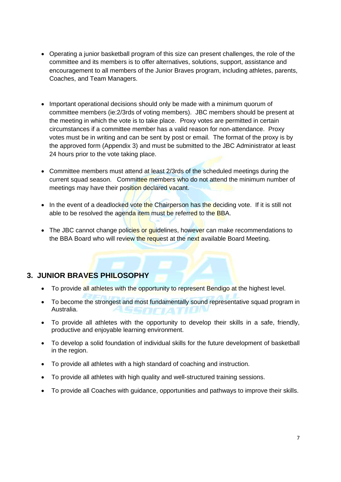- Operating a junior basketball program of this size can present challenges, the role of the committee and its members is to offer alternatives, solutions, support, assistance and encouragement to all members of the Junior Braves program, including athletes, parents, Coaches, and Team Managers.
- Important operational decisions should only be made with a minimum quorum of committee members (ie:2/3rds of voting members). JBC members should be present at the meeting in which the vote is to take place. Proxy votes are permitted in certain circumstances if a committee member has a valid reason for non-attendance. Proxy votes must be in writing and can be sent by post or email. The format of the proxy is by the approved form (Appendix 3) and must be submitted to the JBC Administrator at least 24 hours prior to the vote taking place.
- Committee members must attend at least 2/3rds of the scheduled meetings during the current squad season. Committee members who do not attend the minimum number of meetings may have their position declared vacant.
- In the event of a deadlocked vote the Chairperson has the deciding vote. If it is still not able to be resolved the agenda item must be referred to the BBA.
- The JBC cannot change policies or guidelines, however can make recommendations to the BBA Board who will review the request at the next available Board Meeting.

# <span id="page-6-0"></span>**3. JUNIOR BRAVES PHILOSOPHY**

- To provide all athletes with the opportunity to represent Bendigo at the highest level.
- To become the strongest and most fundamentally sound representative squad program in Australia.
- To provide all athletes with the opportunity to develop their skills in a safe, friendly, productive and enjoyable learning environment.
- To develop a solid foundation of individual skills for the future development of basketball in the region.
- To provide all athletes with a high standard of coaching and instruction.
- To provide all athletes with high quality and well-structured training sessions.
- To provide all Coaches with guidance, opportunities and pathways to improve their skills.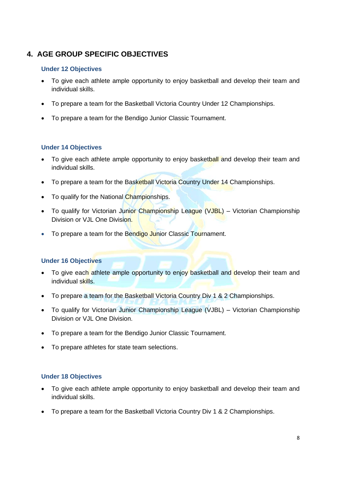# <span id="page-7-0"></span>**4. AGE GROUP SPECIFIC OBJECTIVES**

#### <span id="page-7-1"></span>**Under 12 Objectives**

- To give each athlete ample opportunity to enjoy basketball and develop their team and individual skills.
- To prepare a team for the Basketball Victoria Country Under 12 Championships.
- To prepare a team for the Bendigo Junior Classic Tournament.

# <span id="page-7-2"></span>**Under 14 Objectives**

- To give each athlete ample opportunity to enjoy basketball and develop their team and individual skills.
- To prepare a team for the Basketball Victoria Country Under 14 Championships.
- To qualify for the National Championships.
- To qualify for Victorian Junior Championship League (VJBL) Victorian Championship Division or VJL One Division.
- <span id="page-7-3"></span>• To prepare a team for the Bendigo Junior Classic Tournament.

#### **Under 16 Objectives**

- To give each athlete ample opportunity to enjoy basketball and develop their team and individual skills.
- To prepare a team for the Basketball Victoria Country Div 1 & 2 Championships.
- To qualify for Victorian Junior Championship League (VJBL) Victorian Championship Division or V.II. One Division
- To prepare a team for the Bendigo Junior Classic Tournament.
- To prepare athletes for state team selections.

#### <span id="page-7-4"></span>**Under 18 Objectives**

- To give each athlete ample opportunity to enjoy basketball and develop their team and individual skills.
- To prepare a team for the Basketball Victoria Country Div 1 & 2 Championships.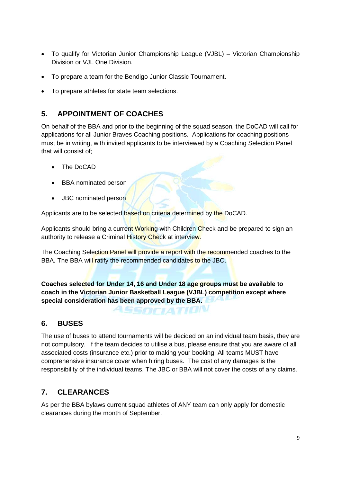- To qualify for Victorian Junior Championship League (VJBL) Victorian Championship Division or VJL One Division.
- To prepare a team for the Bendigo Junior Classic Tournament.
- To prepare athletes for state team selections.

# <span id="page-8-0"></span>**5. APPOINTMENT OF COACHES**

On behalf of the BBA and prior to the beginning of the squad season, the DoCAD will call for applications for all Junior Braves Coaching positions. Applications for coaching positions must be in writing, with invited applicants to be interviewed by a Coaching Selection Panel that will consist of;

- The DoCAD
- BBA nominated person
- JBC nominated person

Applicants are to be selected based on criteria determined by the DoCAD.

Applicants should bring a current Working with Children Check and be prepared to sign an authority to release a Criminal History Check at interview.

The Coaching Selection Panel will provide a report with the recommended coaches to the BBA. The BBA will ratify the recommended candidates to the JBC.

**Coaches selected for Under 14, 16 and Under 18 age groups must be available to coach in the Victorian Junior Basketball League (VJBL) competition except where special consideration has been approved by the BBA.**

ASSOCIATION

# <span id="page-8-1"></span>**6. BUSES**

The use of buses to attend tournaments will be decided on an individual team basis, they are not compulsory. If the team decides to utilise a bus, please ensure that you are aware of all associated costs (insurance etc.) prior to making your booking. All teams MUST have comprehensive insurance cover when hiring buses. The cost of any damages is the responsibility of the individual teams. The JBC or BBA will not cover the costs of any claims.

# <span id="page-8-2"></span>**7. CLEARANCES**

As per the BBA bylaws current squad athletes of ANY team can only apply for domestic clearances during the month of September.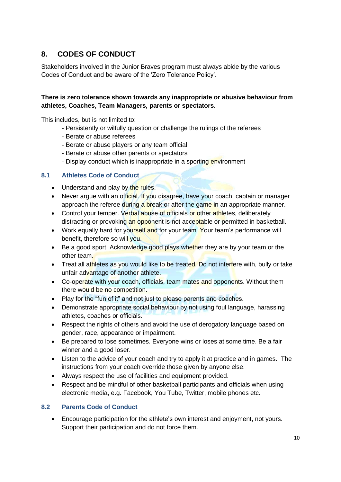# <span id="page-9-0"></span>**8. CODES OF CONDUCT**

Stakeholders involved in the Junior Braves program must always abide by the various Codes of Conduct and be aware of the 'Zero Tolerance Policy'.

# **There is zero tolerance shown towards any inappropriate or abusive behaviour from athletes, Coaches, Team Managers, parents or spectators.**

This includes, but is not limited to:

- Persistently or wilfully question or challenge the rulings of the referees
- Berate or abuse referees
- Berate or abuse players or any team official
- Berate or abuse other parents or spectators
- Display conduct which is inappropriate in a sporting environment

#### <span id="page-9-1"></span>**8.1 Athletes Code of Conduct**

- Understand and play by the rules.
- Never argue with an official. If you disagree, have your coach, captain or manager approach the referee during a break or after the game in an appropriate manner.
- Control your temper. Verbal abuse of officials or other athletes, deliberately distracting or provoking an opponent is not acceptable or permitted in basketball.
- Work equally hard for yourself and for your team. Your team's performance will benefit, therefore so will you.
- Be a good sport. Acknowledge good plays whether they are by your team or the other team.
- Treat all athletes as you would like to be treated. Do not interfere with, bully or take unfair advantage of another athlete.
- Co-operate with your coach, officials, team mates and opponents. Without them there would be no competition.
- Play for the "fun of it" and not just to please parents and coaches.
- Demonstrate appropriate social behaviour by not using foul language, harassing athletes, coaches or officials.
- Respect the rights of others and avoid the use of derogatory language based on gender, race, appearance or impairment.
- Be prepared to lose sometimes. Everyone wins or loses at some time. Be a fair winner and a good loser.
- Listen to the advice of your coach and try to apply it at practice and in games. The instructions from your coach override those given by anyone else.
- Always respect the use of facilities and equipment provided.
- Respect and be mindful of other basketball participants and officials when using electronic media, e.g. Facebook, You Tube, Twitter, mobile phones etc.

# <span id="page-9-2"></span>**8.2 Parents Code of Conduct**

• Encourage participation for the athlete's own interest and enjoyment, not yours. Support their participation and do not force them.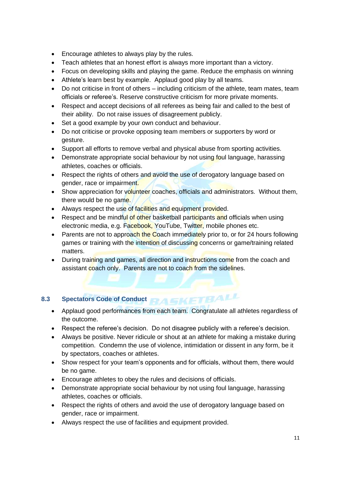- Encourage athletes to always play by the rules.
- Teach athletes that an honest effort is always more important than a victory.
- Focus on developing skills and playing the game. Reduce the emphasis on winning
- Athlete's learn best by example. Applaud good play by all teams.
- Do not criticise in front of others including criticism of the athlete, team mates, team officials or referee's. Reserve constructive criticism for more private moments.
- Respect and accept decisions of all referees as being fair and called to the best of their ability. Do not raise issues of disagreement publicly.
- Set a good example by your own conduct and behaviour.
- Do not criticise or provoke opposing team members or supporters by word or gesture.
- Support all efforts to remove verbal and physical abuse from sporting activities.
- Demonstrate appropriate social behaviour by not using foul language, harassing athletes, coaches or officials.
- Respect the rights of others and avoid the use of derogatory language based on gender, race or impairment.
- Show appreciation for volunteer coaches, officials and administrators. Without them, there would be no game.
- Always respect the use of facilities and equipment provided.
- Respect and be mindful of other basketball participants and officials when using electronic media, e.g. Facebook, YouTube, Twitter, mobile phones etc.
- Parents are not to approach the Coach immediately prior to, or for 24 hours following games or training with the intention of discussing concerns or game/training related matters.
- During training and games, all direction and instructions come from the coach and assistant coach only. Parents are not to coach from the sidelines.

# <span id="page-10-0"></span>**8.3 Spectators Code of Conduct Replace TO RAMA**

- Applaud good performances from each team. Congratulate all athletes regardless of the outcome.
- Respect the referee's decision. Do not disagree publicly with a referee's decision.
- Always be positive. Never ridicule or shout at an athlete for making a mistake during competition. Condemn the use of violence, intimidation or dissent in any form, be it by spectators, coaches or athletes.
- Show respect for your team's opponents and for officials, without them, there would be no game.
- Encourage athletes to obey the rules and decisions of officials.
- Demonstrate appropriate social behaviour by not using foul language, harassing athletes, coaches or officials.
- Respect the rights of others and avoid the use of derogatory language based on gender, race or impairment.
- Always respect the use of facilities and equipment provided.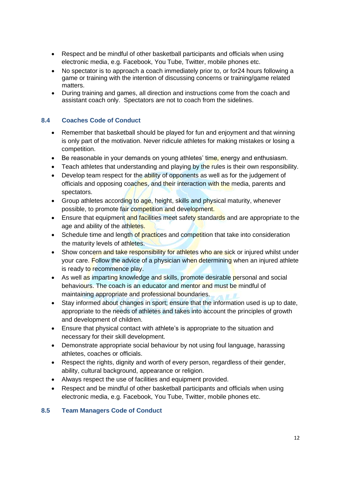- Respect and be mindful of other basketball participants and officials when using electronic media, e.g. Facebook, You Tube, Twitter, mobile phones etc.
- No spectator is to approach a coach immediately prior to, or for24 hours following a game or training with the intention of discussing concerns or training/game related matters.
- During training and games, all direction and instructions come from the coach and assistant coach only. Spectators are not to coach from the sidelines.

# <span id="page-11-0"></span>**8.4 Coaches Code of Conduct**

- Remember that basketball should be played for fun and enjoyment and that winning is only part of the motivation. Never ridicule athletes for making mistakes or losing a competition.
- Be reasonable in your demands on young athletes' time, energy and enthusiasm.
- Teach athletes that understanding and playing by the rules is their own responsibility.
- Develop team respect for the ability of opponents as well as for the judgement of officials and opposing coaches, and their interaction with the media, parents and spectators.
- Group athletes according to age, height, skills and physical maturity, whenever possible, to promote fair competition and development.
- Ensure that equipment and facilities meet safety standards and are appropriate to the age and ability of the athletes.
- Schedule time and length of practices and competition that take into consideration the maturity levels of athletes.
- Show concern and take responsibility for athletes who are sick or injured whilst under your care. Follow the advice of a physician when determining when an injured athlete is ready to recommence play.
- As well as imparting knowledge and skills, promote desirable personal and social behaviours. The coach is an educator and mentor and must be mindful of maintaining appropriate and professional boundaries.
- Stay informed about changes in sport; ensure that the information used is up to date, appropriate to the needs of athletes and takes into account the principles of growth and development of children.
- Ensure that physical contact with athlete's is appropriate to the situation and necessary for their skill development.
- Demonstrate appropriate social behaviour by not using foul language, harassing athletes, coaches or officials.
- Respect the rights, dignity and worth of every person, regardless of their gender, ability, cultural background, appearance or religion.
- Always respect the use of facilities and equipment provided.
- Respect and be mindful of other basketball participants and officials when using electronic media, e.g. Facebook, You Tube, Twitter, mobile phones etc.

# <span id="page-11-1"></span>**8.5 Team Managers Code of Conduct**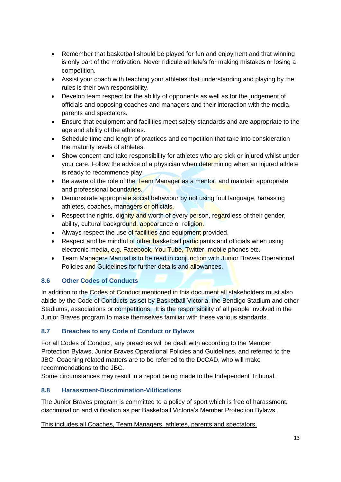- Remember that basketball should be played for fun and enjoyment and that winning is only part of the motivation. Never ridicule athlete's for making mistakes or losing a competition.
- Assist your coach with teaching your athletes that understanding and playing by the rules is their own responsibility.
- Develop team respect for the ability of opponents as well as for the judgement of officials and opposing coaches and managers and their interaction with the media, parents and spectators.
- Ensure that equipment and facilities meet safety standards and are appropriate to the age and ability of the athletes.
- Schedule time and length of practices and competition that take into consideration the maturity levels of athletes.
- Show concern and take responsibility for athletes who are sick or injured whilst under your care. Follow the advice of a physician when determining when an injured athlete is ready to recommence play.
- Be aware of the role of the Team Manager as a mentor, and maintain appropriate and professional boundaries.
- Demonstrate appropriate social behaviour by not using foul language, harassing athletes, coaches, managers or officials.
- Respect the rights, dignity and worth of every person, regardless of their gender, ability, cultural background, appearance or religion.
- Always respect the use of facilities and equipment provided.
- Respect and be mindful of other basketball participants and officials when using electronic media, e.g. Facebook, You Tube, Twitter, mobile phones etc.
- Team Managers Manual is to be read in conjunction with Junior Braves Operational Policies and Guidelines for further details and allowances.

# <span id="page-12-0"></span>**8.6 Other Codes of Conducts**

In addition to the Codes of Conduct mentioned in this document all stakeholders must also abide by the Code of Conducts as set by Basketball Victoria, the Bendigo Stadium and other Stadiums, associations or competitions. It is the responsibility of all people involved in the Junior Braves program to make themselves familiar with these various standards.

# <span id="page-12-1"></span>**8.7 Breaches to any Code of Conduct or Bylaws**

For all Codes of Conduct, any breaches will be dealt with according to the Member Protection Bylaws, Junior Braves Operational Policies and Guidelines, and referred to the JBC. Coaching related matters are to be referred to the DoCAD, who will make recommendations to the JBC.

Some circumstances may result in a report being made to the Independent Tribunal.

# <span id="page-12-2"></span>**8.8 Harassment-Discrimination-Vilifications**

The Junior Braves program is committed to a policy of sport which is free of harassment, discrimination and vilification as per Basketball Victoria's Member Protection Bylaws.

# This includes all Coaches, Team Managers, athletes, parents and spectators.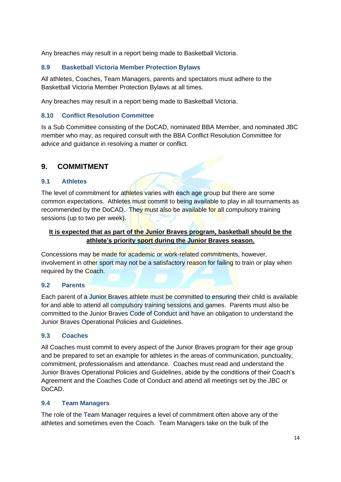Any breaches may result in a report being made to Basketball Victoria.

# <span id="page-13-0"></span>**8.9 Basketball Victoria Member Protection Bylaws**

All athletes, Coaches, Team Managers, parents and spectators must adhere to the Basketball Victoria Member Protection Bylaws at all times.

<span id="page-13-1"></span>Any breaches may result in a report being made to Basketball Victoria.

#### **8.10 Conflict Resolution Committee**

Is a Sub Committee consisting of the DoCAD, nominated BBA Member, and nominated JBC member who may, as required consult with the BBA Conflict Resolution Committee for advice and guidance in resolving a matter or conflict.

# <span id="page-13-2"></span>**9. COMMITMENT**

#### <span id="page-13-3"></span>**9.1 Athletes**

The level of commitment for athletes varies with each age group but there are some common expectations. Athletes must commit to being available to play in all tournaments as recommended by the DoCAD. They must also be available for all compulsory training sessions (up to two per week).

# **It is expected that as part of the Junior Braves program, basketball should be the athlete's priority sport during the Junior Braves season.**

Concessions may be made for academic or work-related commitments, however, involvement in other sport may not be a satisfactory reason for failing to train or play when required by the Coach.

#### <span id="page-13-4"></span>**9.2 Parents**

Each parent of a Junior Braves athlete must be committed to ensuring their child is available for and able to attend all compulsory training sessions and games. Parents must also be committed to the Junior Braves Code of Conduct and have an obligation to understand the Junior Braves Operational Policies and Guidelines.

# <span id="page-13-5"></span>**9.3 Coaches**

All Coaches must commit to every aspect of the Junior Braves program for their age group and be prepared to set an example for athletes in the areas of communication, punctuality, commitment, professionalism and attendance. Coaches must read and understand the Junior Braves Operational Policies and Guidelines, abide by the conditions of their Coach's Agreement and the Coaches Code of Conduct and attend all meetings set by the JBC or DoCAD.

#### <span id="page-13-6"></span>**9.4 Team Managers**

The role of the Team Manager requires a level of commitment often above any of the athletes and sometimes even the Coach. Team Managers take on the bulk of the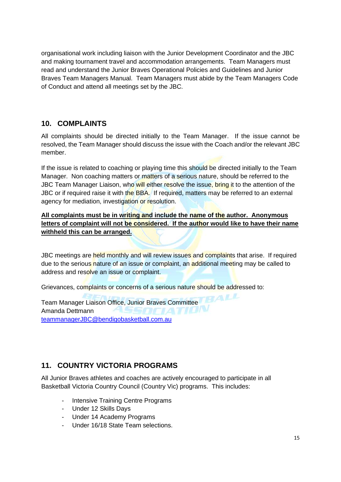organisational work including liaison with the Junior Development Coordinator and the JBC and making tournament travel and accommodation arrangements. Team Managers must read and understand the Junior Braves Operational Policies and Guidelines and Junior Braves Team Managers Manual. Team Managers must abide by the Team Managers Code of Conduct and attend all meetings set by the JBC.

# <span id="page-14-0"></span>**10. COMPLAINTS**

All complaints should be directed initially to the Team Manager. If the issue cannot be resolved, the Team Manager should discuss the issue with the Coach and/or the relevant JBC member.

If the issue is related to coaching or playing time this should be directed initially to the Team Manager. Non coaching matters or matters of a serious nature, should be referred to the JBC Team Manager Liaison, who will either resolve the issue, bring it to the attention of the JBC or if required raise it with the BBA. If required, matters may be referred to an external agency for mediation, investigation or resolution.

**All complaints must be in writing and include the name of the author. Anonymous letters of complaint will not be considered. If the author would like to have their name withheld this can be arranged.**

JBC meetings are held monthly and will review issues and complaints that arise. If required due to the serious nature of an issue or complaint, an additional meeting may be called to address and resolve an issue or complaint.

Grievances, complaints or concerns of a serious nature should be addressed to:

Team Manager Liaison Office, Junior Braves Committee Amanda Dettmann [teammanagerJBC@bendigobasketball.com.au](mailto:teammanagerJBC@bendigobasketball.com.au)

# <span id="page-14-1"></span>**11. COUNTRY VICTORIA PROGRAMS**

All Junior Braves athletes and coaches are actively encouraged to participate in all Basketball Victoria Country Council (Country Vic) programs. This includes:

- Intensive Training Centre Programs
- Under 12 Skills Days
- Under 14 Academy Programs
- Under 16/18 State Team selections.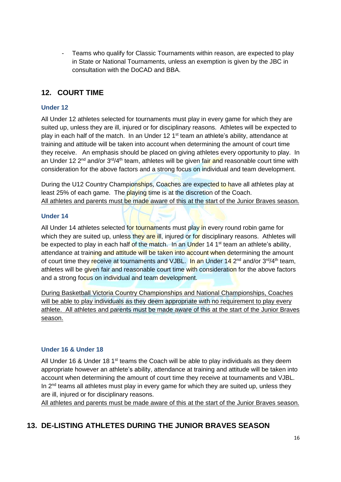- Teams who qualify for Classic Tournaments within reason, are expected to play in State or National Tournaments, unless an exemption is given by the JBC in consultation with the DoCAD and BBA.

# <span id="page-15-0"></span>**12. COURT TIME**

#### <span id="page-15-1"></span>**Under 12**

All Under 12 athletes selected for tournaments must play in every game for which they are suited up, unless they are ill, injured or for disciplinary reasons. Athletes will be expected to play in each half of the match. In an Under 12 1<sup>st</sup> team an athlete's ability, attendance at training and attitude will be taken into account when determining the amount of court time they receive. An emphasis should be placed on giving athletes every opportunity to play. In an Under 12 2<sup>nd</sup> and/or 3<sup>rd</sup>/4<sup>th</sup> team, athletes will be given fair and reasonable court time with consideration for the above factors and a strong focus on individual and team development.

During the U12 Country Championships, Coaches are expected to have all athletes play at least 25% of each game. The playing time is at the discretion of the Coach. All athletes and parents must be made aware of this at the start of the Junior Braves season.

#### <span id="page-15-2"></span>**Under 14**

All Under 14 athletes selected for tournaments must play in every round robin game for which they are suited up, unless they are ill, injured or for disciplinary reasons. Athletes will be expected to play in each half of the match. In an Under 14 1<sup>st</sup> team an athlete's ability, attendance at training and attitude will be taken into account when determining the amount of court time they receive at tournaments and VJBL. In an Under  $14^{2}$ <sup>nd</sup> and/or  $3^{rd}/4^{th}$  team, athletes will be given fair and reasonable court time with consideration for the above factors and a strong focus on individual and team development.

During Basketball Victoria Country Championships and National Championships, Coaches will be able to play individuals as they deem appropriate with no requirement to play every athlete. All athletes and parents must be made aware of this at the start of the Junior Braves season.

#### <span id="page-15-3"></span>**Under 16 & Under 18**

All Under 16 & Under 18 1<sup>st</sup> teams the Coach will be able to play individuals as they deem appropriate however an athlete's ability, attendance at training and attitude will be taken into account when determining the amount of court time they receive at tournaments and VJBL. In 2<sup>nd</sup> teams all athletes must play in every game for which they are suited up, unless they are ill, injured or for disciplinary reasons.

<span id="page-15-4"></span>All athletes and parents must be made aware of this at the start of the Junior Braves season.

# **13. DE-LISTING ATHLETES DURING THE JUNIOR BRAVES SEASON**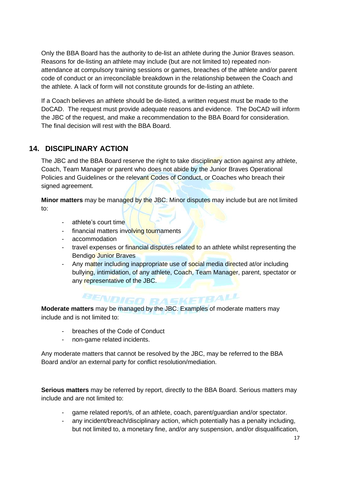Only the BBA Board has the authority to de-list an athlete during the Junior Braves season. Reasons for de-listing an athlete may include (but are not limited to) repeated nonattendance at compulsory training sessions or games, breaches of the athlete and/or parent code of conduct or an irreconcilable breakdown in the relationship between the Coach and the athlete. A lack of form will not constitute grounds for de-listing an athlete.

If a Coach believes an athlete should be de-listed, a written request must be made to the DoCAD. The request must provide adequate reasons and evidence. The DoCAD will inform the JBC of the request, and make a recommendation to the BBA Board for consideration. The final decision will rest with the BBA Board.

# <span id="page-16-0"></span>**14. DISCIPLINARY ACTION**

The JBC and the BBA Board reserve the right to take disciplinary action against any athlete, Coach, Team Manager or parent who does not abide by the Junior Braves Operational Policies and Guidelines or the relevant Codes of Conduct, or Coaches who breach their signed agreement.

**Minor matters** may be managed by the JBC. Minor disputes may include but are not limited to:

- athlete's court time
- financial matters involving tournaments
- accommodation
- travel expenses or financial disputes related to an athlete whilst representing the Bendigo Junior Braves
- Any matter including inappropriate use of social media directed at/or including bullying, intimidation, of any athlete, Coach, Team Manager, parent, spectator or any representative of the JBC.

# **BENDIGO RASKETBALL**

**Moderate matters** may be managed by the JBC. Examples of moderate matters may include and is not limited to:

- breaches of the Code of Conduct
- non-game related incidents.

Any moderate matters that cannot be resolved by the JBC, may be referred to the BBA Board and/or an external party for conflict resolution/mediation.

**Serious matters** may be referred by report, directly to the BBA Board. Serious matters may include and are not limited to:

- game related report/s, of an athlete, coach, parent/guardian and/or spectator.
- any incident/breach/disciplinary action, which potentially has a penalty including, but not limited to, a monetary fine, and/or any suspension, and/or disqualification,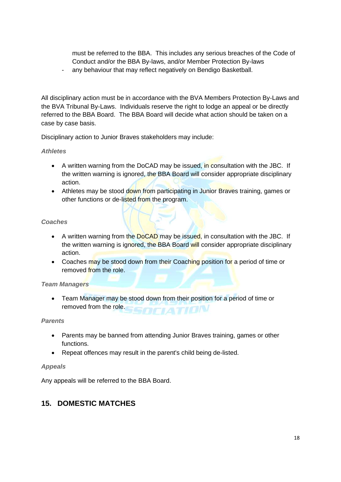must be referred to the BBA. This includes any serious breaches of the Code of Conduct and/or the BBA By-laws, and/or Member Protection By-laws

any behaviour that may reflect negatively on Bendigo Basketball.

All disciplinary action must be in accordance with the BVA Members Protection By-Laws and the BVA Tribunal By-Laws. Individuals reserve the right to lodge an appeal or be directly referred to the BBA Board. The BBA Board will decide what action should be taken on a case by case basis.

Disciplinary action to Junior Braves stakeholders may include:

#### *Athletes*

- A written warning from the DoCAD may be issued, in consultation with the JBC. If the written warning is ignored, the BBA Board will consider appropriate disciplinary action.
- Athletes may be stood down from participating in Junior Braves training, games or other functions or de-listed from the program.

#### *Coaches*

- A written warning from the DoCAD may be issued, in consultation with the JBC. If the written warning is ignored, the BBA Board will consider appropriate disciplinary action.
- Coaches may be stood down from their Coaching position for a period of time or removed from the role.

#### *Team Managers*

• Team Manager may be stood down from their position for a period of time or removed from the role. **IATION** 

#### *Parents*

- Parents may be banned from attending Junior Braves training, games or other functions.
- Repeat offences may result in the parent's child being de-listed.

#### *Appeals*

Any appeals will be referred to the BBA Board.

# <span id="page-17-0"></span>**15. DOMESTIC MATCHES**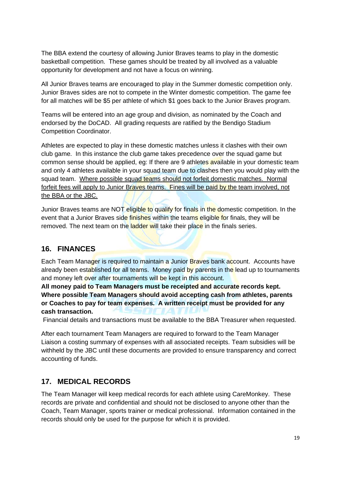The BBA extend the courtesy of allowing Junior Braves teams to play in the domestic basketball competition. These games should be treated by all involved as a valuable opportunity for development and not have a focus on winning.

All Junior Braves teams are encouraged to play in the Summer domestic competition only. Junior Braves sides are not to compete in the Winter domestic competition. The game fee for all matches will be \$5 per athlete of which \$1 goes back to the Junior Braves program.

Teams will be entered into an age group and division, as nominated by the Coach and endorsed by the DoCAD. All grading requests are ratified by the Bendigo Stadium Competition Coordinator.

Athletes are expected to play in these domestic matches unless it clashes with their own club game. In this instance the club game takes precedence over the squad game but common sense should be applied, eg: If there are 9 athletes available in your domestic team and only 4 athletes available in your squad team due to clashes then you would play with the squad team. Where possible squad teams should not forfeit domestic matches. Normal forfeit fees will apply to Junior Braves teams. Fines will be paid by the team involved, not the BBA or the JBC.

Junior Braves teams are NOT eligible to qualify for finals in the domestic competition. In the event that a Junior Braves side finishes within the teams eligible for finals, they will be removed. The next team on the ladder will take their place in the finals series.

# <span id="page-18-0"></span>**16. FINANCES**

Each Team Manager is required to maintain a Junior Braves bank account. Accounts have already been established for all teams. Money paid by parents in the lead up to tournaments and money left over after tournaments will be kept in this account.

**All money paid to Team Managers must be receipted and accurate records kept. Where possible Team Managers should avoid accepting cash from athletes, parents or Coaches to pay for team expenses. A written receipt must be provided for any cash transaction.** 

Financial details and transactions must be available to the BBA Treasurer when requested.

After each tournament Team Managers are required to forward to the Team Manager Liaison a costing summary of expenses with all associated receipts. Team subsidies will be withheld by the JBC until these documents are provided to ensure transparency and correct accounting of funds.

# <span id="page-18-1"></span>**17. MEDICAL RECORDS**

The Team Manager will keep medical records for each athlete using CareMonkey. These records are private and confidential and should not be disclosed to anyone other than the Coach, Team Manager, sports trainer or medical professional. Information contained in the records should only be used for the purpose for which it is provided.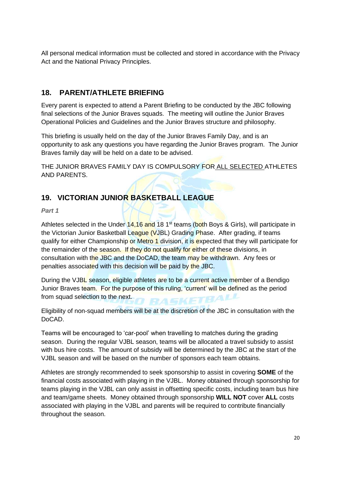All personal medical information must be collected and stored in accordance with the Privacy Act and the National Privacy Principles.

# <span id="page-19-0"></span>**18. PARENT/ATHLETE BRIEFING**

Every parent is expected to attend a Parent Briefing to be conducted by the JBC following final selections of the Junior Braves squads. The meeting will outline the Junior Braves Operational Policies and Guidelines and the Junior Braves structure and philosophy.

This briefing is usually held on the day of the Junior Braves Family Day, and is an opportunity to ask any questions you have regarding the Junior Braves program. The Junior Braves family day will be held on a date to be advised.

THE JUNIOR BRAVES FAMILY DAY IS COMPULSORY FOR ALL SELECTED ATHLETES AND PARENTS.

# <span id="page-19-1"></span>**19. VICTORIAN JUNIOR BASKETBALL LEAGUE**

*Part 1*

Athletes selected in the Under 14,16 and 18 1<sup>st</sup> teams (both Boys & Girls), will participate in the Victorian Junior Basketball League (VJBL) Grading Phase. After grading, if teams qualify for either Championship or Metro 1 division, it is expected that they will participate for the remainder of the season. If they do not qualify for either of these divisions, in consultation with the JBC and the DoCAD, the team may be withdrawn. Any fees or penalties associated with this decision will be paid by the JBC.

During the VJBL season, eligible athletes are to be a current active member of a Bendigo Junior Braves team. For the purpose of this ruling, 'current' will be defined as the period from squad selection to the next.

Eligibility of non-squad members will be at the discretion of the JBC in consultation with the DoCAD.

Teams will be encouraged to 'car-pool' when travelling to matches during the grading season. During the regular VJBL season, teams will be allocated a travel subsidy to assist with bus hire costs. The amount of subsidy will be determined by the JBC at the start of the VJBL season and will be based on the number of sponsors each team obtains.

Athletes are strongly recommended to seek sponsorship to assist in covering **SOME** of the financial costs associated with playing in the VJBL. Money obtained through sponsorship for teams playing in the VJBL can only assist in offsetting specific costs, including team bus hire and team/game sheets. Money obtained through sponsorship **WILL NOT** cover **ALL** costs associated with playing in the VJBL and parents will be required to contribute financially throughout the season.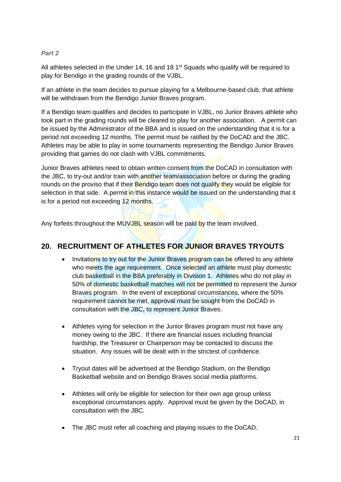# *Part 2*

All athletes selected in the Under 14, 16 and 18  $1<sup>st</sup>$  Squads who qualify will be required to play for Bendigo in the grading rounds of the VJBL.

If an athlete in the team decides to pursue playing for a Melbourne-based club, that athlete will be withdrawn from the Bendigo Junior Braves program.

If a Bendigo team qualifies and decides to participate in VJBL, no Junior Braves athlete who took part in the grading rounds will be cleared to play for another association. A permit can be issued by the Administrator of the BBA and is issued on the understanding that it is for a period not exceeding 12 months. The permit must be ratified by the DoCAD and the JBC. Athletes may be able to play in some tournaments representing the Bendigo Junior Braves providing that games do not clash with VJBL commitments.

Junior Braves athletes need to obtain written consent from the DoCAD in consultation with the JBC, to try-out and/or train with another team/association before or during the grading rounds on the proviso that if their **Bendigo team does not qualify they** would be eligible for selection in that side. A permit in this instance would be issued on the understanding that it is for a period not exceeding 12 months.

Any forfeits throughout the MUVJBL season will be paid by the team involved.

# <span id="page-20-0"></span>**20. RECRUITMENT OF ATHLETES FOR JUNIOR BRAVES TRYOUTS**

- Invitations to try out for the Junior Braves program can be offered to any athlete who meets the age requirement. Once selected an athlete must play domestic club basketball in the BBA preferably in Division 1. Athletes who do not play in 50% of domestic basketball matches will not be permitted to represent the Junior Braves program. In the event of exceptional circumstances, where the 50% requirement cannot be met, approval must be sought from the DoCAD in consultation with the JBC, to represent Junior Braves.
- Athletes vying for selection in the Junior Braves program must not have any money owing to the JBC. If there are financial issues including financial hardship, the Treasurer or Chairperson may be contacted to discuss the situation. Any issues will be dealt with in the strictest of confidence.
- Tryout dates will be advertised at the Bendigo Stadium, on the Bendigo Basketball website and on Bendigo Braves social media platforms.
- Athletes will only be eligible for selection for their own age group unless exceptional circumstances apply. Approval must be given by the DoCAD, in consultation with the JBC.
- The JBC must refer all coaching and playing issues to the DoCAD.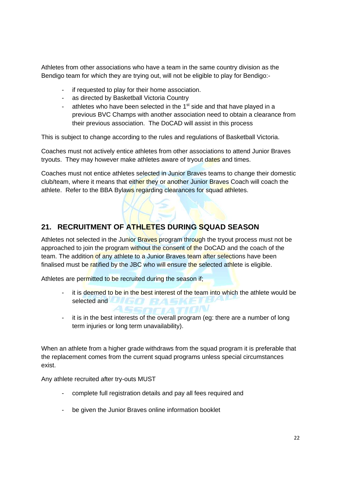Athletes from other associations who have a team in the same country division as the Bendigo team for which they are trying out, will not be eligible to play for Bendigo:-

- if requested to play for their home association.
- as directed by Basketball Victoria Country
- athletes who have been selected in the 1<sup>st</sup> side and that have played in a previous BVC Champs with another association need to obtain a clearance from their previous association. The DoCAD will assist in this process

This is subject to change according to the rules and regulations of Basketball Victoria.

Coaches must not actively entice athletes from other associations to attend Junior Braves tryouts. They may however make athletes aware of tryout dates and times.

Coaches must not entice athletes selected in Junior Braves teams to change their domestic club/team, where it means that either they or another Junior Braves Coach will coach the athlete. Refer to the BBA Bylaws regarding clearances for squad athletes.

# <span id="page-21-0"></span>**21. RECRUITMENT OF ATHLETES DURING SQUAD SEASON**

Athletes not selected in the Junior Braves program through the tryout process must not be approached to join the program without the consent of the DoCAD and the coach of the team. The addition of any athlete to a Junior Braves team after selections have been finalised must be ratified by the JBC who will ensure the selected athlete is eligible.

ASSOCIATION

Athletes are permitted to be recruited during the season if;

- it is deemed to be in the best interest of the team into which the athlete would be selected and **the first property of the first property**
- it is in the best interests of the overall program (eg: there are a number of long term injuries or long term unavailability).

When an athlete from a higher grade withdraws from the squad program it is preferable that the replacement comes from the current squad programs unless special circumstances exist.

Any athlete recruited after try-outs MUST

- complete full registration details and pay all fees required and
- be given the Junior Braves online information booklet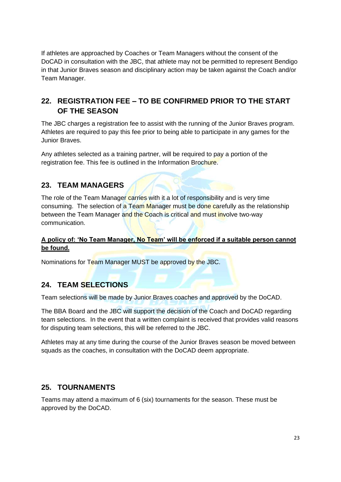If athletes are approached by Coaches or Team Managers without the consent of the DoCAD in consultation with the JBC, that athlete may not be permitted to represent Bendigo in that Junior Braves season and disciplinary action may be taken against the Coach and/or Team Manager.

# <span id="page-22-0"></span>**22. REGISTRATION FEE – TO BE CONFIRMED PRIOR TO THE START OF THE SEASON**

The JBC charges a registration fee to assist with the running of the Junior Braves program. Athletes are required to pay this fee prior to being able to participate in any games for the Junior Braves.

Any athletes selected as a training partner, will be required to pay a portion of the registration fee. This fee is outlined in the Information Brochure.

# <span id="page-22-1"></span>**23. TEAM MANAGERS**

The role of the Team Manager carries with it a lot of responsibility and is very time consuming. The selection of a Team Manager must be done carefully as the relationship between the Team Manager and the Coach is critical and must involve two-way communication.

# **A policy of: 'No Team Manager, No Team' will be enforced if a suitable person cannot be found.**

Nominations for Team Manager MUST be approved by the JBC.

# <span id="page-22-2"></span>**24. TEAM SELECTIONS**

Team selections will be made by Junior Braves coaches and approved by the DoCAD.

The BBA Board and the JBC will support the decision of the Coach and DoCAD regarding team selections. In the event that a written complaint is received that provides valid reasons for disputing team selections, this will be referred to the JBC.

Athletes may at any time during the course of the Junior Braves season be moved between squads as the coaches, in consultation with the DoCAD deem appropriate.

# <span id="page-22-3"></span>**25. TOURNAMENTS**

Teams may attend a maximum of 6 (six) tournaments for the season. These must be approved by the DoCAD.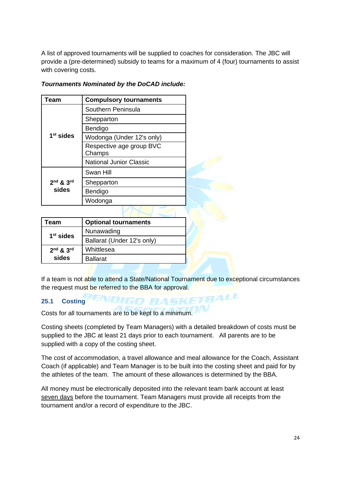A list of approved tournaments will be supplied to coaches for consideration. The JBC will provide a (pre-determined) subsidy to teams for a maximum of 4 (four) tournaments to assist with covering costs.

| Team        | <b>Compulsory tournaments</b>      |  |
|-------------|------------------------------------|--|
|             | Southern Peninsula                 |  |
|             | Shepparton                         |  |
|             | Bendigo                            |  |
| $1st$ sides | Wodonga (Under 12's only)          |  |
|             | Respective age group BVC<br>Champs |  |
|             | <b>National Junior Classic</b>     |  |
|             | Swan Hill                          |  |
| 2nd & 3rd   | Shepparton                         |  |
| sides       | Bendigo                            |  |
|             | Wodonga                            |  |

K N-

# *Tournaments Nominated by the DoCAD include:*

| Team          | <b>Optional tournaments</b> |
|---------------|-----------------------------|
| $1st$ sides   | Nunawading                  |
|               | Ballarat (Under 12's only)  |
| $2nd$ & $3rd$ | Whittlesea                  |
| sides         | <b>Ballarat</b>             |

If a team is not able to attend a State/National Tournament due to exceptional circumstances the request must be referred to the BBA for approval.

**VDIGO BASKETBALL** 

# <span id="page-23-0"></span>**25.1 Costing**

Costs for all tournaments are to be kept to a minimum.

Costing sheets (completed by Team Managers) with a detailed breakdown of costs must be supplied to the JBC at least 21 days prior to each tournament. All parents are to be supplied with a copy of the costing sheet.

The cost of accommodation, a travel allowance and meal allowance for the Coach, Assistant Coach (if applicable) and Team Manager is to be built into the costing sheet and paid for by the athletes of the team. The amount of these allowances is determined by the BBA.

All money must be electronically deposited into the relevant team bank account at least seven days before the tournament. Team Managers must provide all receipts from the tournament and/or a record of expenditure to the JBC.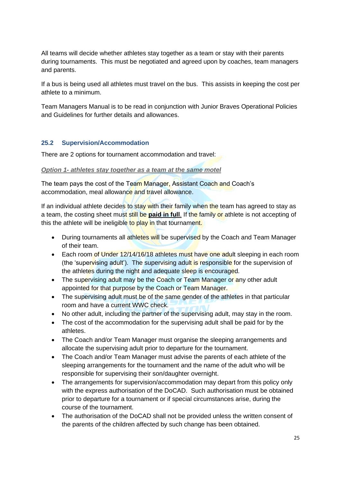All teams will decide whether athletes stay together as a team or stay with their parents during tournaments. This must be negotiated and agreed upon by coaches, team managers and parents.

If a bus is being used all athletes must travel on the bus. This assists in keeping the cost per athlete to a minimum.

Team Managers Manual is to be read in conjunction with Junior Braves Operational Policies and Guidelines for further details and allowances.

#### <span id="page-24-0"></span>**25.2 Supervision/Accommodation**

There are 2 options for tournament accommodation and travel:

#### *Option 1- athletes stay together as a team at the same motel*

The team pays the cost of the Team Manager, Assistant Coach and Coach's accommodation, meal allowance and travel allowance.

If an individual athlete decides to stay with their family when the team has agreed to stay as a team, the costing sheet must still be **paid in full**. If the family or athlete is not accepting of this the athlete will be ineligible to play in that tournament.

- During tournaments all athletes will be supervised by the Coach and Team Manager of their team.
- Each room of Under 12/14/16/18 athletes must have one adult sleeping in each room (the 'supervising adult'). The supervising adult is responsible for the supervision of the athletes during the night and adequate sleep is encouraged.
- The supervising adult may be the Coach or Team Manager or any other adult appointed for that purpose by the Coach or Team Manager.
- The supervising adult must be of the same gender of the athletes in that particular room and have a current WWC check.
- No other adult, including the partner of the supervising adult, may stay in the room.
- The cost of the accommodation for the supervising adult shall be paid for by the athletes.
- The Coach and/or Team Manager must organise the sleeping arrangements and allocate the supervising adult prior to departure for the tournament.
- The Coach and/or Team Manager must advise the parents of each athlete of the sleeping arrangements for the tournament and the name of the adult who will be responsible for supervising their son/daughter overnight.
- The arrangements for supervision/accommodation may depart from this policy only with the express authorisation of the DoCAD. Such authorisation must be obtained prior to departure for a tournament or if special circumstances arise, during the course of the tournament.
- The authorisation of the DoCAD shall not be provided unless the written consent of the parents of the children affected by such change has been obtained.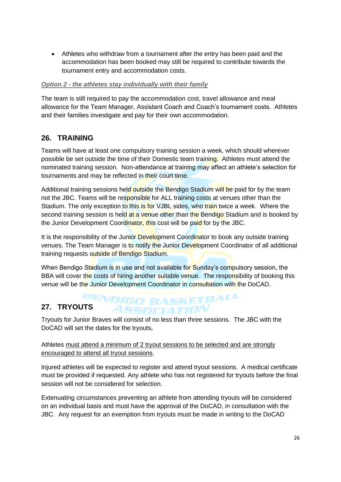• Athletes who withdraw from a tournament after the entry has been paid and the accommodation has been booked may still be required to contribute towards the tournament entry and accommodation costs.

#### *Option 2 - the athletes stay individually with their family*

The team is still required to pay the accommodation cost, travel allowance and meal allowance for the Team Manager, Assistant Coach and Coach's tournament costs. Athletes and their families investigate and pay for their own accommodation.

# <span id="page-25-0"></span>**26. TRAINING**

Teams will have at least one compulsory training session a week, which should wherever possible be set outside the time of their Domestic team training. Athletes must attend the nominated training session. Non-attendance at training may affect an athlete's selection for tournaments and may be reflected in their court time.

Additional training sessions held outside the Bendigo Stadium will be paid for by the team not the JBC. Teams will be responsible for ALL training costs at venues other than the Stadium. The only exception to this is for VJBL sides, who train twice a week. Where the second training session is held at a venue other than the Bendigo Stadium and is booked by the Junior Development Coordinator, this cost will be paid for by the JBC.

It is the responsibility of the Junior Development Coordinator to book any outside training venues. The Team Manager is to notify the Junior Development Coordinator of all additional training requests outside of Bendigo Stadium.

When Bendigo Stadium is in use and not available for Sunday's compulsory session, the BBA will cover the costs of hiring another suitable venue. The responsibility of booking this venue will be the Junior Development Coordinator in consultation with the DoCAD.

# <span id="page-25-1"></span>**27. TRYOUTS RASKETBALL**

Tryouts for Junior Braves will consist of no less than three sessions. The JBC with the DoCAD will set the dates for the tryouts**.** 

ASSOCIATION

# Athletes must attend a minimum of 2 tryout sessions to be selected and are strongly encouraged to attend all tryout sessions.

Injured athletes will be expected to register and attend tryout sessions. A medical certificate must be provided if requested. Any athlete who has not registered for tryouts before the final session will not be considered for selection.

Extenuating circumstances preventing an athlete from attending tryouts will be considered on an individual basis and must have the approval of the DoCAD, in consultation with the JBC. Any request for an exemption from tryouts must be made in writing to the DoCAD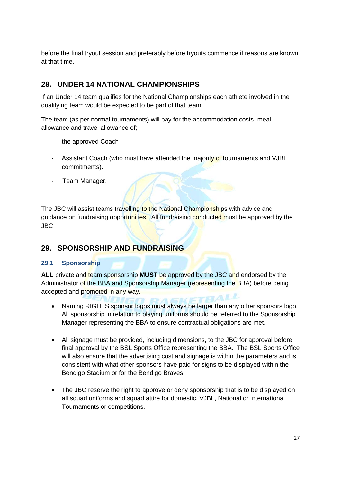before the final tryout session and preferably before tryouts commence if reasons are known at that time.

# <span id="page-26-0"></span>**28. UNDER 14 NATIONAL CHAMPIONSHIPS**

If an Under 14 team qualifies for the National Championships each athlete involved in the qualifying team would be expected to be part of that team.

The team (as per normal tournaments) will pay for the accommodation costs, meal allowance and travel allowance of;

- the approved Coach
- Assistant Coach (who must have attended the majority of tournaments and VJBL commitments).
- Team Manager.

The JBC will assist teams travelling to the National Championships with advice and guidance on fundraising opportunities. All fundraising conducted must be approved by the JBC.

# <span id="page-26-1"></span>**29. SPONSORSHIP AND FUNDRAISING**

# <span id="page-26-2"></span>**29.1 Sponsorship**

**ALL** private and team sponsorship **MUST** be approved by the JBC and endorsed by the Administrator of the BBA and Sponsorship Manager (representing the BBA) before being accepted and promoted in any way.

- Naming RIGHTS sponsor logos must always be larger than any other sponsors logo. All sponsorship in relation to playing uniforms should be referred to the Sponsorship Manager representing the BBA to ensure contractual obligations are met.
- All signage must be provided, including dimensions, to the JBC for approval before final approval by the BSL Sports Office representing the BBA. The BSL Sports Office will also ensure that the advertising cost and signage is within the parameters and is consistent with what other sponsors have paid for signs to be displayed within the Bendigo Stadium or for the Bendigo Braves.
- The JBC reserve the right to approve or deny sponsorship that is to be displayed on all squad uniforms and squad attire for domestic, VJBL, National or International Tournaments or competitions.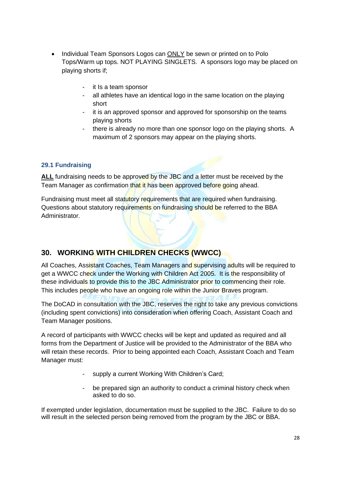- Individual Team Sponsors Logos can ONLY be sewn or printed on to Polo Tops/Warm up tops. NOT PLAYING SINGLETS. A sponsors logo may be placed on playing shorts if;
	- it Is a team sponsor
	- all athletes have an identical logo in the same location on the playing short
	- it is an approved sponsor and approved for sponsorship on the teams playing shorts
	- there is already no more than one sponsor logo on the playing shorts. A maximum of 2 sponsors may appear on the playing shorts.

# <span id="page-27-1"></span><span id="page-27-0"></span>**29.1 Fundraising**

ALL fundraising needs to be approved by the JBC and a letter must be received by the Team Manager as confirmation that it has been approved before going ahead.

Fundraising must meet all statutory requirements that are required when fundraising. Questions about statutory requirements on fundraising should be referred to the BBA Administrator.

# **30. WORKING WITH CHILDREN CHECKS (WWCC)**

All Coaches, Assistant Coaches, Team Managers and supervising adults will be required to get a WWCC check under the Working with Children Act 2005. It is the responsibility of these individuals to provide this to the JBC Administrator prior to commencing their role. This includes people who have an ongoing role within the Junior Braves program.

The DoCAD in consultation with the JBC, reserves the right to take any previous convictions (including spent convictions) into consideration when offering Coach, Assistant Coach and Team Manager positions.

A record of participants with WWCC checks will be kept and updated as required and all forms from the Department of Justice will be provided to the Administrator of the BBA who will retain these records. Prior to being appointed each Coach, Assistant Coach and Team Manager must:

- supply a current Working With Children's Card;
- be prepared sign an authority to conduct a criminal history check when asked to do so.

<span id="page-27-2"></span>If exempted under legislation, documentation must be supplied to the JBC. Failure to do so will result in the selected person being removed from the program by the JBC or BBA.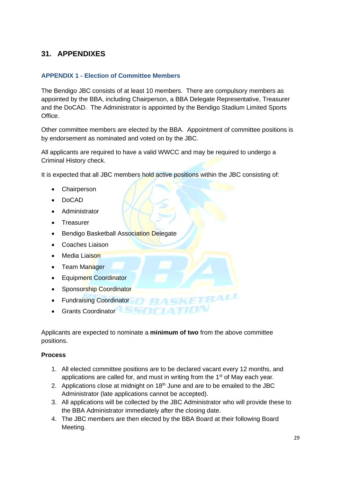# <span id="page-28-0"></span>**31. APPENDIXES**

#### <span id="page-28-1"></span>**APPENDIX 1 - Election of Committee Members**

The Bendigo JBC consists of at least 10 members. There are compulsory members as appointed by the BBA, including Chairperson, a BBA Delegate Representative, Treasurer and the DoCAD. The Administrator is appointed by the Bendigo Stadium Limited Sports Office.

Other committee members are elected by the BBA. Appointment of committee positions is by endorsement as nominated and voted on by the JBC.

All applicants are required to have a valid WWCC and may be required to undergo a Criminal History check.

It is expected that all JBC members hold active positions within the JBC consisting of:

- **Chairperson**
- DoCAD
- Administrator
- Treasurer
- Bendigo Basketball Association Delegate
- Coaches Liaison
- Media Liaison
- Team Manager
- Equipment Coordinator
- Sponsorship Coordinator
- Fundraising Coordinator
- Grants Coordinator

Applicants are expected to nominate a **minimum of two** from the above committee positions.

#### **Process**

1. All elected committee positions are to be declared vacant every 12 months, and applications are called for, and must in writing from the 1<sup>st</sup> of May each year.

BALL

- 2. Applications close at midnight on  $18<sup>th</sup>$  June and are to be emailed to the JBC Administrator (late applications cannot be accepted).
- 3. All applications will be collected by the JBC Administrator who will provide these to the BBA Administrator immediately after the closing date.
- 4. The JBC members are then elected by the BBA Board at their following Board Meeting.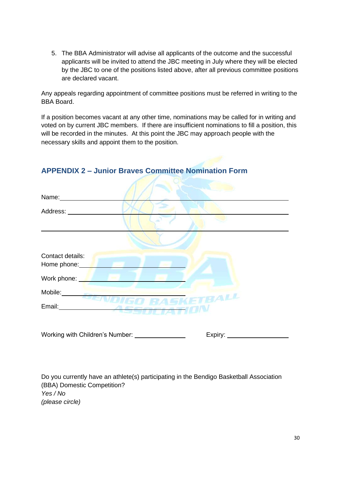5. The BBA Administrator will advise all applicants of the outcome and the successful applicants will be invited to attend the JBC meeting in July where they will be elected by the JBC to one of the positions listed above, after all previous committee positions are declared vacant.

Any appeals regarding appointment of committee positions must be referred in writing to the BBA Board.

If a position becomes vacant at any other time, nominations may be called for in writing and voted on by current JBC members. If there are insufficient nominations to fill a position, this will be recorded in the minutes. At this point the JBC may approach people with the necessary skills and appoint them to the position.

| Name:                           |              |
|---------------------------------|--------------|
| Address:                        |              |
|                                 |              |
|                                 |              |
| Contact details:<br>Home phone: |              |
| Work phone:                     | <b>STATE</b> |
| Mobile:                         | TBALL        |
| Email:                          |              |
|                                 |              |

# <span id="page-29-0"></span>**APPENDIX 2 – Junior Braves Committee Nomination Form**

Working with Children's Number: Expiry:

Do you currently have an athlete(s) participating in the Bendigo Basketball Association (BBA) Domestic Competition? *Yes / No (please circle)*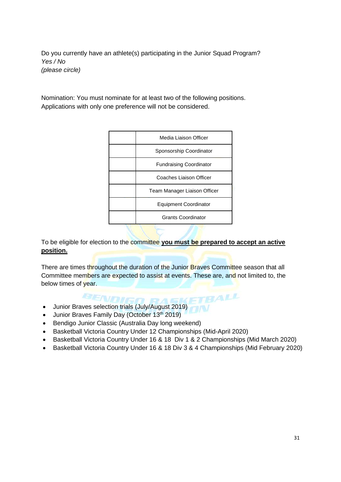Do you currently have an athlete(s) participating in the Junior Squad Program? *Yes / No (please circle)*

Nomination: You must nominate for at least two of the following positions. Applications with only one preference will not be considered.

| Media Liaison Officer          |
|--------------------------------|
| Sponsorship Coordinator        |
| <b>Fundraising Coordinator</b> |
| Coaches Liaison Officer        |
| Team Manager Liaison Officer   |
| Equipment Coordinator          |
| <b>Grants Coordinator</b>      |

To be eligible for election to the committee **you must be prepared to accept an active position.** 

There are times throughout the duration of the Junior Braves Committee season that all Committee members are expected to assist at events. These are, and not limited to, the below times of year.

• Junior Braves selection trials (July/August 2019)

- Junior Braves Family Day (October 13<sup>th</sup> 2019)
- Bendigo Junior Classic (Australia Day long weekend)
- Basketball Victoria Country Under 12 Championships (Mid-April 2020)
- Basketball Victoria Country Under 16 & 18 Div 1 & 2 Championships (Mid March 2020)
- Basketball Victoria Country Under 16 & 18 Div 3 & 4 Championships (Mid February 2020)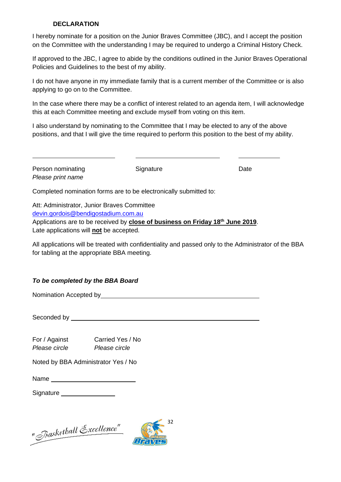#### **DECLARATION**

I hereby nominate for a position on the Junior Braves Committee (JBC), and I accept the position on the Committee with the understanding I may be required to undergo a Criminal History Check.

If approved to the JBC, I agree to abide by the conditions outlined in the Junior Braves Operational Policies and Guidelines to the best of my ability.

I do not have anyone in my immediate family that is a current member of the Committee or is also applying to go on to the Committee.

In the case where there may be a conflict of interest related to an agenda item, I will acknowledge this at each Committee meeting and exclude myself from voting on this item.

I also understand by nominating to the Committee that I may be elected to any of the above positions, and that I will give the time required to perform this position to the best of my ability.

| Person nominating<br>Please print name                                                                                                                                                                                      | Signature | Date                                                                                                  |
|-----------------------------------------------------------------------------------------------------------------------------------------------------------------------------------------------------------------------------|-----------|-------------------------------------------------------------------------------------------------------|
| Completed nomination forms are to be electronically submitted to:                                                                                                                                                           |           |                                                                                                       |
| Att: Administrator, Junior Braves Committee<br>devin.gordois@bendigostadium.com.au<br>Applications are to be received by close of business on Friday 18 <sup>th</sup> June 2019.<br>Late applications will not be accepted. |           |                                                                                                       |
| for tabling at the appropriate BBA meeting.                                                                                                                                                                                 |           | All applications will be treated with confidentiality and passed only to the Administrator of the BBA |

# *To be completed by the BBA Board*

Nomination Accepted by

Seconded by **Seconded** by **Seconded** by **Seconded** by **Seconded** by **Seconded** by **Seconded** by **Seconded** by **Seconded** by **Seconded** by **Seconded** by **Seconded** by **Seconded** by **Seconded** by **Seconded** by **Seconded** by

For / Against Carried Yes / No *Please circle Please circle* 

Noted by BBA Administrator Yes / No

Name

Signature **Signature Signature Signature Signature Signature Signature Signature Signature Signature Signature Signature Signature Signature Signature Signature Signature Signature Signatu** 

"Jsasketball Excellence"

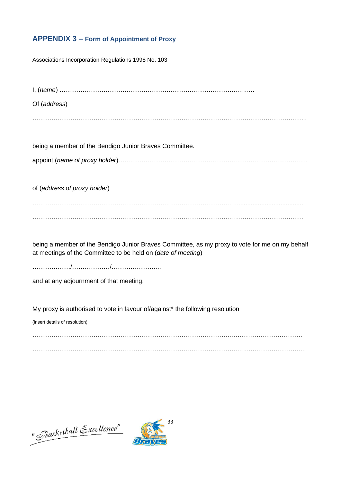# **APPENDIX 3 – Form of Appointment of Proxy**

Associations Incorporation Regulations 1998 No. 103

I, (*name*) …………………………………………………………………………………

Of (*address*)

. The contract of the contract of the contract of the contract of the contract of the contract of the contract of the contract of the contract of the contract of the contract of the contract of the contract of the contrac

…………………………………………………………………………………………………………………..

being a member of the Bendigo Junior Braves Committee.

appoint (*name of proxy holder*)………………………………………………………………………………

of (*address of proxy holder*)

……………………………………………………………………………………….................................... …………………………………………………………………………………………………………………

being a member of the Bendigo Junior Braves Committee, as my proxy to vote for me on my behalf at meetings of the Committee to be held on (*date of meeting*)

………………/………………/……………………

and at any adjournment of that meeting.

My proxy is authorised to vote in favour of/against\* the following resolution

(insert details of resolution)

…………………………………………………………………………………..……………………………. . The contract of the contract of the contract of the contract of the contract of the contract of the contract of the contract of the contract of the contract of the contract of the contract of the contract of the contrac

"Jasketball Excellence"

<span id="page-32-0"></span>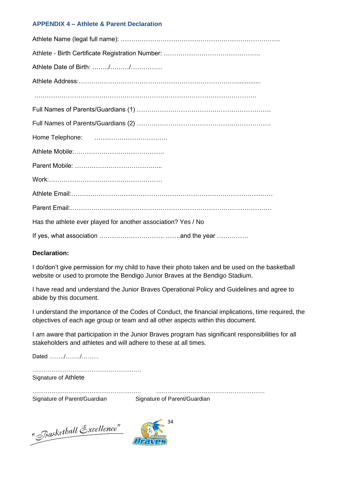#### **APPENDIX 4 – Athlete & Parent Declaration**

| Athlete Date of Birth: //                                     |
|---------------------------------------------------------------|
|                                                               |
|                                                               |
|                                                               |
|                                                               |
|                                                               |
|                                                               |
|                                                               |
|                                                               |
|                                                               |
|                                                               |
| Has the athlete ever played for another association? Yes / No |
|                                                               |

If yes, what association …………………………. …….and the year ……………

# **Declaration:**

I do/don't give permission for my child to have their photo taken and be used on the basketball website or used to promote the Bendigo Junior Braves at the Bendigo Stadium.

I have read and understand the Junior Braves Operational Policy and Guidelines and agree to abide by this document.

I understand the importance of the Codes of Conduct, the financial implications, time required, the objectives of each age group or team and all other aspects within this document.

I am aware that participation in the Junior Braves program has significant responsibilities for all stakeholders and athletes and will adhere to these at all times.

Dated ……../……../………

………………………………………………… Signature of Athlete

………………………………………………… ………………………………………………… Signature of Parent/Guardian Signature of Parent/Guardian

"Jasketball Excellence"

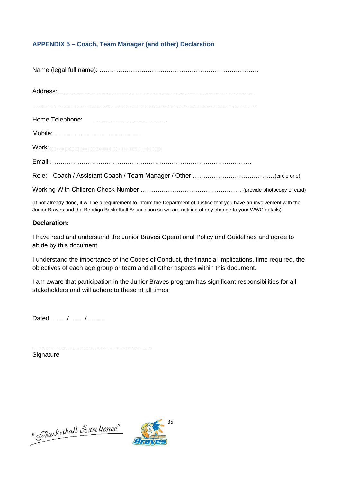# **APPENDIX 5 – Coach, Team Manager (and other) Declaration**

(If not already done, it will be a requirement to inform the Department of Justice that you have an involvement with the Junior Braves and the Bendigo Basketball Association so we are notified of any change to your WWC details)

#### **Declaration:**

I have read and understand the Junior Braves Operational Policy and Guidelines and agree to abide by this document.

I understand the importance of the Codes of Conduct, the financial implications, time required, the objectives of each age group or team and all other aspects within this document.

I am aware that participation in the Junior Braves program has significant responsibilities for all stakeholders and will adhere to these at all times.

Dated ……../……../………

………………………………………………… **Signature** 

"*Basketball* Excellence"

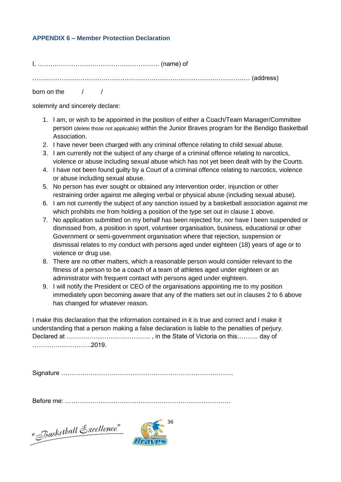#### **APPENDIX 6 – Member Protection Declaration**

I, …………………………………………………. (name) of …….……………………………………….…………………………………………… (address) born on the  $/$  /

solemnly and sincerely declare:

- 1. I am, or wish to be appointed in the position of either a Coach/Team Manager/Committee person (delete those not applicable) within the Junior Braves program for the Bendigo Basketball Association.
- 2. I have never been charged with any criminal offence relating to child sexual abuse.
- 3. I am currently not the subject of any charge of a criminal offence relating to narcotics, violence or abuse including sexual abuse which has not yet been dealt with by the Courts.
- 4. I have not been found guilty by a Court of a criminal offence relating to narcotics, violence or abuse including sexual abuse.
- 5. No person has ever sought or obtained any intervention order, injunction or other restraining order against me alleging verbal or physical abuse (including sexual abuse).
- 6. I am not currently the subject of any sanction issued by a basketball association against me which prohibits me from holding a position of the type set out in clause 1 above.
- 7. No application submitted on my behalf has been rejected for, nor have I been suspended or dismissed from, a position in sport, volunteer organisation, business, educational or other Government or semi-government organisation where that rejection, suspension or dismissal relates to my conduct with persons aged under eighteen (18) years of age or to violence or drug use.
- 8. There are no other matters, which a reasonable person would consider relevant to the fitness of a person to be a coach of a team of athletes aged under eighteen or an administrator with frequent contact with persons aged under eighteen.
- 9. I will notify the President or CEO of the organisations appointing me to my position immediately upon becoming aware that any of the matters set out in clauses 2 to 6 above has changed for whatever reason.

I make this declaration that the information contained in it is true and correct and I make it understanding that a person making a false declaration is liable to the penalties of perjury. Declared at …………………………………. , in the State of Victoria on this………. day of ……………………….2019.

Signature ……………………………………………………………………….

Before me: …………………………………………………………………….

"Basketball Excellence"